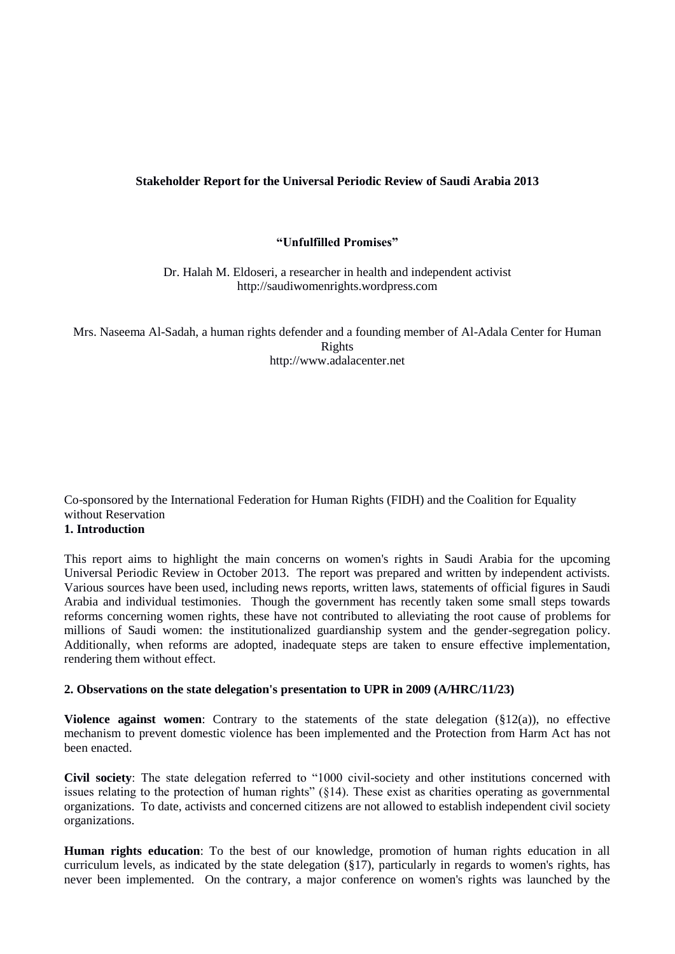## **Stakeholder Report for the Universal Periodic Review of Saudi Arabia 2013**

#### **"Unfulfilled Promises"**

Dr. Halah M. Eldoseri, a researcher in health and independent activist http://saudiwomenrights.wordpress.com

Mrs. Naseema Al-Sadah, a human rights defender and a founding member of Al-Adala Center for Human Rights http://www.adalacenter.net

# Co-sponsored by the International Federation for Human Rights (FIDH) and the Coalition for Equality without Reservation

# **1. Introduction**

This report aims to highlight the main concerns on women's rights in Saudi Arabia for the upcoming Universal Periodic Review in October 2013. The report was prepared and written by independent activists. Various sources have been used, including news reports, written laws, statements of official figures in Saudi Arabia and individual testimonies. Though the government has recently taken some small steps towards reforms concerning women rights, these have not contributed to alleviating the root cause of problems for millions of Saudi women: the institutionalized guardianship system and the gender-segregation policy. Additionally, when reforms are adopted, inadequate steps are taken to ensure effective implementation, rendering them without effect.

#### **2. Observations on the state delegation's presentation to UPR in 2009 (A/HRC/11/23)**

**Violence against women:** Contrary to the statements of the state delegation  $(\S12(a))$ , no effective mechanism to prevent domestic violence has been implemented and the Protection from Harm Act has not been enacted.

**Civil society**: The state delegation referred to "1000 civil-society and other institutions concerned with issues relating to the protection of human rights" (§14). These exist as charities operating as governmental organizations. To date, activists and concerned citizens are not allowed to establish independent civil society organizations.

**Human rights education**: To the best of our knowledge, promotion of human rights education in all curriculum levels, as indicated by the state delegation (§17), particularly in regards to women's rights, has never been implemented. On the contrary, a major conference on women's rights was launched by the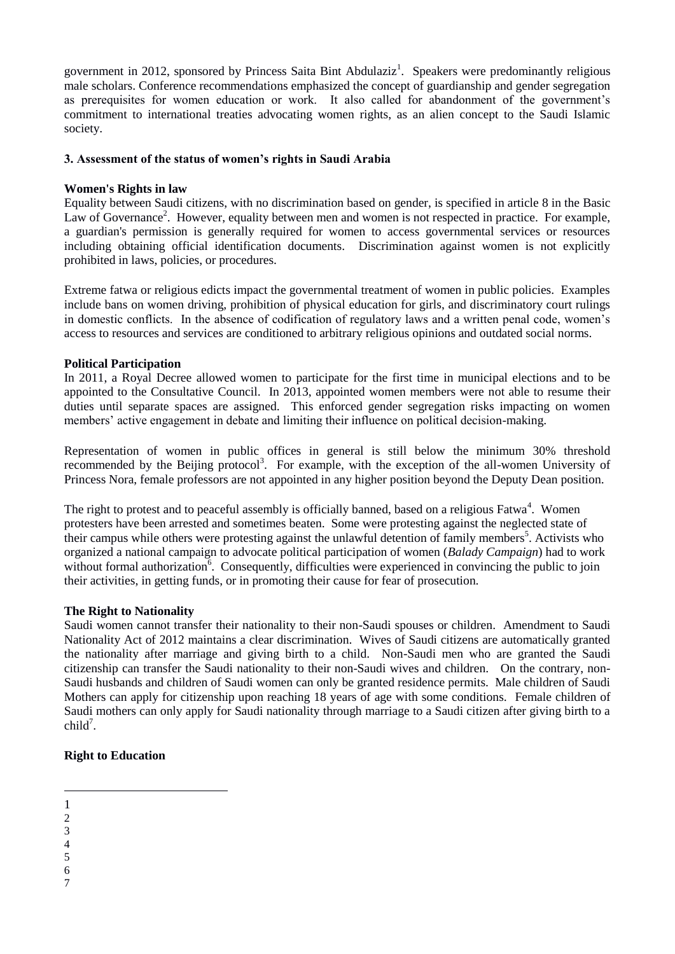government in 2012, sponsored by Princess Saita Bint Abdulaziz<sup>1</sup>. Speakers were predominantly religious male scholars. Conference recommendations emphasized the concept of guardianship and gender segregation as prerequisites for women education or work. It also called for abandonment of the government's commitment to international treaties advocating women rights, as an alien concept to the Saudi Islamic society.

## **3. Assessment of the status of women's rights in Saudi Arabia**

#### **Women's Rights in law**

Equality between Saudi citizens, with no discrimination based on gender, is specified in article 8 in the Basic Law of Governance<sup>2</sup>. However, equality between men and women is not respected in practice. For example, a guardian's permission is generally required for women to access governmental services or resources including obtaining official identification documents. Discrimination against women is not explicitly prohibited in laws, policies, or procedures.

Extreme fatwa or religious edicts impact the governmental treatment of women in public policies. Examples include bans on women driving, prohibition of physical education for girls, and discriminatory court rulings in domestic conflicts. In the absence of codification of regulatory laws and a written penal code, women's access to resources and services are conditioned to arbitrary religious opinions and outdated social norms.

#### **Political Participation**

In 2011, a Royal Decree allowed women to participate for the first time in municipal elections and to be appointed to the Consultative Council. In 2013, appointed women members were not able to resume their duties until separate spaces are assigned. This enforced gender segregation risks impacting on women members' active engagement in debate and limiting their influence on political decision-making.

Representation of women in public offices in general is still below the minimum 30% threshold recommended by the Beijing protocol<sup>3</sup>. For example, with the exception of the all-women University of Princess Nora, female professors are not appointed in any higher position beyond the Deputy Dean position.

The right to protest and to peaceful assembly is officially banned, based on a religious Fatwa<sup>4</sup>. Women protesters have been arrested and sometimes beaten. Some were protesting against the neglected state of their campus while others were protesting against the unlawful detention of family members<sup>5</sup>. Activists who organized a national campaign to advocate political participation of women (*Balady Campaign*) had to work without formal authorization<sup>6</sup>. Consequently, difficulties were experienced in convincing the public to join their activities, in getting funds, or in promoting their cause for fear of prosecution.

## **The Right to Nationality**

Saudi women cannot transfer their nationality to their non-Saudi spouses or children. Amendment to Saudi Nationality Act of 2012 maintains a clear discrimination. Wives of Saudi citizens are automatically granted the nationality after marriage and giving birth to a child. Non-Saudi men who are granted the Saudi citizenship can transfer the Saudi nationality to their non-Saudi wives and children. On the contrary, non-Saudi husbands and children of Saudi women can only be granted residence permits. Male children of Saudi Mothers can apply for citizenship upon reaching 18 years of age with some conditions. Female children of Saudi mothers can only apply for Saudi nationality through marriage to a Saudi citizen after giving birth to a  $child<sup>7</sup>$ .

## **Right to Education**

- 1 1
- $\overline{2}$
- 3
- 4 5
- 6
- 7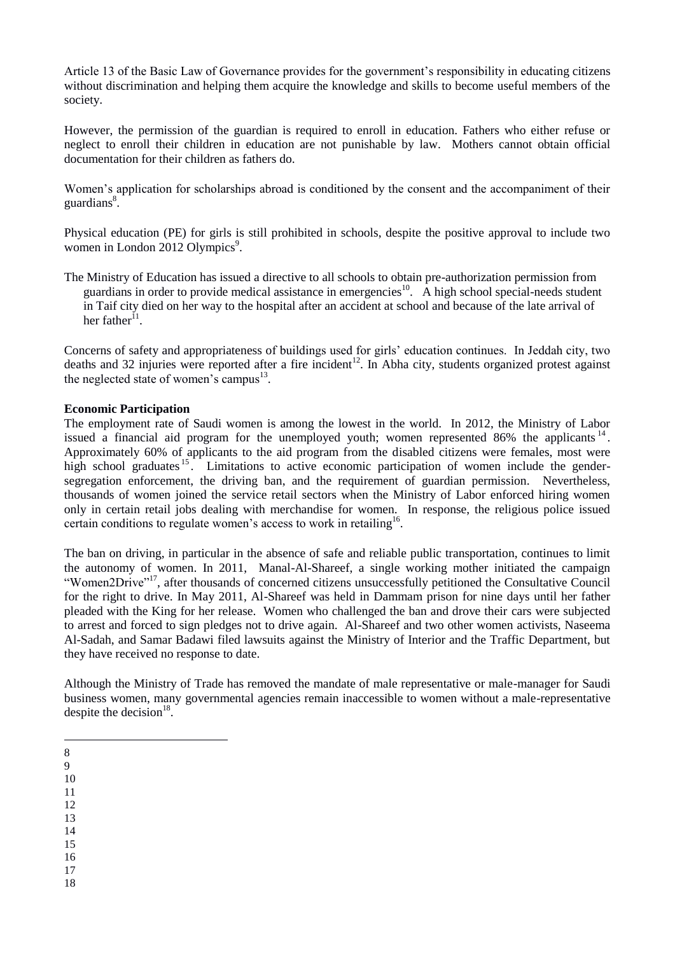Article 13 of the Basic Law of Governance provides for the government's responsibility in educating citizens without discrimination and helping them acquire the knowledge and skills to become useful members of the society.

However, the permission of the guardian is required to enroll in education. Fathers who either refuse or neglect to enroll their children in education are not punishable by law. Mothers cannot obtain official documentation for their children as fathers do.

Women's application for scholarships abroad is conditioned by the consent and the accompaniment of their guardians<sup>8</sup>.

Physical education (PE) for girls is still prohibited in schools, despite the positive approval to include two women in London 2012 Olympics<sup>9</sup>.

The Ministry of Education has issued a directive to all schools to obtain pre-authorization permission from guardians in order to provide medical assistance in emergencies<sup>10</sup>. A high school special-needs student in Taif city died on her way to the hospital after an accident at school and because of the late arrival of her father<sup>11</sup>.

Concerns of safety and appropriateness of buildings used for girls' education continues. In Jeddah city, two deaths and 32 injuries were reported after a fire incident<sup>12</sup>. In Abha city, students organized protest against the neglected state of women's campus<sup>13</sup>.

## **Economic Participation**

The employment rate of Saudi women is among the lowest in the world. In 2012, the Ministry of Labor issued a financial aid program for the unemployed youth; women represented 86% the applicants  $14$ . Approximately 60% of applicants to the aid program from the disabled citizens were females, most were high school graduates <sup>15</sup>. Limitations to active economic participation of women include the gendersegregation enforcement, the driving ban, and the requirement of guardian permission. Nevertheless, thousands of women joined the service retail sectors when the Ministry of Labor enforced hiring women only in certain retail jobs dealing with merchandise for women. In response, the religious police issued certain conditions to regulate women's access to work in retailing<sup>16</sup>.

The ban on driving, in particular in the absence of safe and reliable public transportation, continues to limit the autonomy of women. In 2011, Manal-Al-Shareef, a single working mother initiated the campaign "Women2Drive"<sup>17</sup>, after thousands of concerned citizens unsuccessfully petitioned the Consultative Council for the right to drive. In May 2011, Al-Shareef was held in Dammam prison for nine days until her father pleaded with the King for her release. Women who challenged the ban and drove their cars were subjected to arrest and forced to sign pledges not to drive again. Al-Shareef and two other women activists, Naseema Al-Sadah, and Samar Badawi filed lawsuits against the Ministry of Interior and the Traffic Department, but they have received no response to date.

Although the Ministry of Trade has removed the mandate of male representative or male-manager for Saudi business women, many governmental agencies remain inaccessible to women without a male-representative despite the decision $18$ .

- 1 8
- 9

10

- 11
- 12 13
- 14
- 15
- 16
- 17 18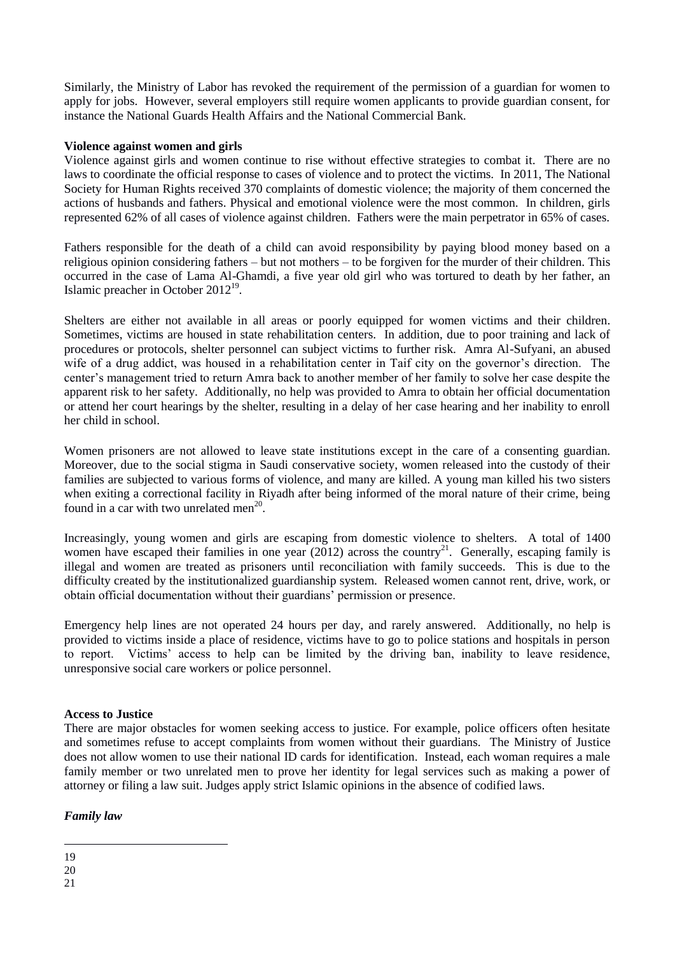Similarly, the Ministry of Labor has revoked the requirement of the permission of a guardian for women to apply for jobs. However, several employers still require women applicants to provide guardian consent, for instance the National Guards Health Affairs and the National Commercial Bank.

## **Violence against women and girls**

Violence against girls and women continue to rise without effective strategies to combat it. There are no laws to coordinate the official response to cases of violence and to protect the victims. In 2011, The National Society for Human Rights received 370 complaints of domestic violence; the majority of them concerned the actions of husbands and fathers. Physical and emotional violence were the most common. In children, girls represented 62% of all cases of violence against children. Fathers were the main perpetrator in 65% of cases.

Fathers responsible for the death of a child can avoid responsibility by paying blood money based on a religious opinion considering fathers – but not mothers – to be forgiven for the murder of their children. This occurred in the case of Lama Al-Ghamdi, a five year old girl who was tortured to death by her father, an Islamic preacher in October 2012<sup>19</sup>.

Shelters are either not available in all areas or poorly equipped for women victims and their children. Sometimes, victims are housed in state rehabilitation centers. In addition, due to poor training and lack of procedures or protocols, shelter personnel can subject victims to further risk. Amra Al-Sufyani, an abused wife of a drug addict, was housed in a rehabilitation center in Taif city on the governor's direction. The center's management tried to return Amra back to another member of her family to solve her case despite the apparent risk to her safety. Additionally, no help was provided to Amra to obtain her official documentation or attend her court hearings by the shelter, resulting in a delay of her case hearing and her inability to enroll her child in school.

Women prisoners are not allowed to leave state institutions except in the care of a consenting guardian. Moreover, due to the social stigma in Saudi conservative society, women released into the custody of their families are subjected to various forms of violence, and many are killed. A young man killed his two sisters when exiting a correctional facility in Riyadh after being informed of the moral nature of their crime, being found in a car with two unrelated men<sup>20</sup>.

Increasingly, young women and girls are escaping from domestic violence to shelters. A total of 1400 women have escaped their families in one year (2012) across the country<sup>21</sup>. Generally, escaping family is illegal and women are treated as prisoners until reconciliation with family succeeds. This is due to the difficulty created by the institutionalized guardianship system. Released women cannot rent, drive, work, or obtain official documentation without their guardians' permission or presence.

Emergency help lines are not operated 24 hours per day, and rarely answered. Additionally, no help is provided to victims inside a place of residence, victims have to go to police stations and hospitals in person to report. Victims' access to help can be limited by the driving ban, inability to leave residence, unresponsive social care workers or police personnel.

## **Access to Justice**

There are major obstacles for women seeking access to justice. For example, police officers often hesitate and sometimes refuse to accept complaints from women without their guardians. The Ministry of Justice does not allow women to use their national ID cards for identification. Instead, each woman requires a male family member or two unrelated men to prove her identity for legal services such as making a power of attorney or filing a law suit. Judges apply strict Islamic opinions in the absence of codified laws.

## *Family law*

<sup>&</sup>lt;u>.</u> 19

<sup>20</sup>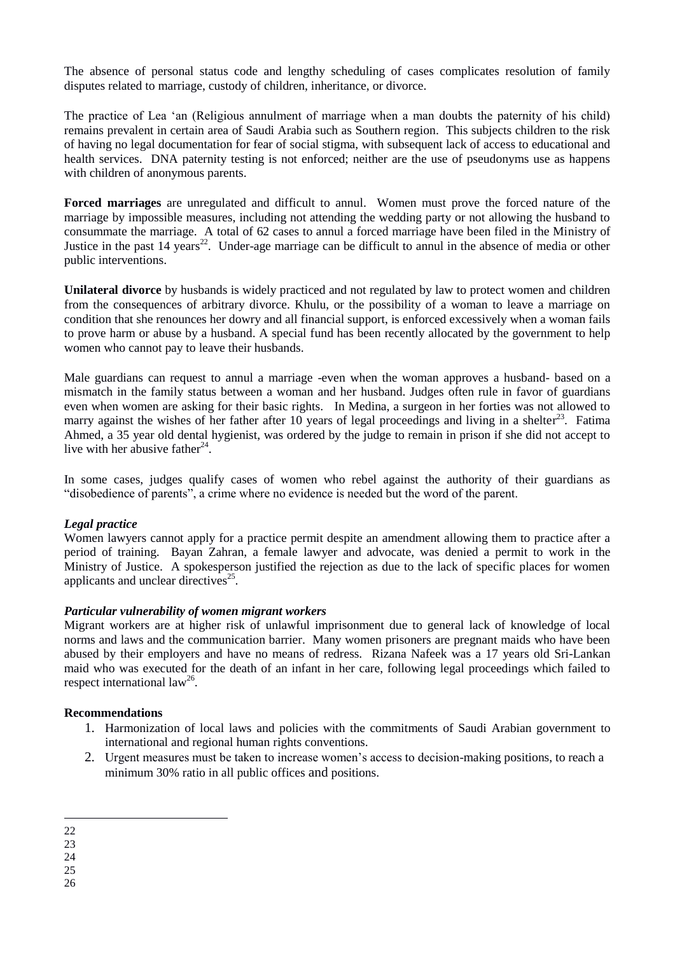The absence of personal status code and lengthy scheduling of cases complicates resolution of family disputes related to marriage, custody of children, inheritance, or divorce.

The practice of Lea 'an (Religious annulment of marriage when a man doubts the paternity of his child) remains prevalent in certain area of Saudi Arabia such as Southern region. This subjects children to the risk of having no legal documentation for fear of social stigma, with subsequent lack of access to educational and health services. DNA paternity testing is not enforced; neither are the use of pseudonyms use as happens with children of anonymous parents.

**Forced marriages** are unregulated and difficult to annul. Women must prove the forced nature of the marriage by impossible measures, including not attending the wedding party or not allowing the husband to consummate the marriage. A total of 62 cases to annul a forced marriage have been filed in the Ministry of Justice in the past 14 years<sup>22</sup>. Under-age marriage can be difficult to annul in the absence of media or other public interventions.

**Unilateral divorce** by husbands is widely practiced and not regulated by law to protect women and children from the consequences of arbitrary divorce. Khulu, or the possibility of a woman to leave a marriage on condition that she renounces her dowry and all financial support, is enforced excessively when a woman fails to prove harm or abuse by a husband. A special fund has been recently allocated by the government to help women who cannot pay to leave their husbands.

Male guardians can request to annul a marriage -even when the woman approves a husband- based on a mismatch in the family status between a woman and her husband. Judges often rule in favor of guardians even when women are asking for their basic rights. In Medina, a surgeon in her forties was not allowed to marry against the wishes of her father after 10 years of legal proceedings and living in a shelter<sup>23</sup>. Fatima Ahmed, a 35 year old dental hygienist, was ordered by the judge to remain in prison if she did not accept to live with her abusive father<sup>24</sup>.

In some cases, judges qualify cases of women who rebel against the authority of their guardians as "disobedience of parents", a crime where no evidence is needed but the word of the parent.

## *Legal practice*

Women lawyers cannot apply for a practice permit despite an amendment allowing them to practice after a period of training. Bayan Zahran, a female lawyer and advocate, was denied a permit to work in the Ministry of Justice. A spokesperson justified the rejection as due to the lack of specific places for women applicants and unclear directives<sup>25</sup>.

## *Particular vulnerability of women migrant workers*

Migrant workers are at higher risk of unlawful imprisonment due to general lack of knowledge of local norms and laws and the communication barrier. Many women prisoners are pregnant maids who have been abused by their employers and have no means of redress. Rizana Nafeek was a 17 years old Sri-Lankan maid who was executed for the death of an infant in her care, following legal proceedings which failed to respect international law<sup>26</sup>.

## **Recommendations**

- 1. Harmonization of local laws and policies with the commitments of Saudi Arabian government to international and regional human rights conventions.
- 2. Urgent measures must be taken to increase women's access to decision-making positions, to reach a minimum 30% ratio in all public offices and positions.

25

26

<sup>1</sup> 22

<sup>23</sup>

<sup>24</sup>